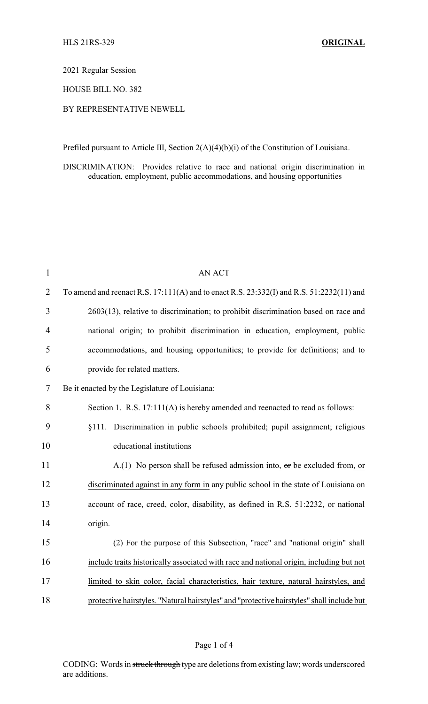2021 Regular Session

HOUSE BILL NO. 382

# BY REPRESENTATIVE NEWELL

Prefiled pursuant to Article III, Section 2(A)(4)(b)(i) of the Constitution of Louisiana.

DISCRIMINATION: Provides relative to race and national origin discrimination in education, employment, public accommodations, and housing opportunities

| $\mathbf{1}$   | AN ACT                                                                                    |
|----------------|-------------------------------------------------------------------------------------------|
| $\overline{2}$ | To amend and reenact R.S. 17:111(A) and to enact R.S. 23:332(I) and R.S. 51:2232(11) and  |
| 3              | 2603(13), relative to discrimination; to prohibit discrimination based on race and        |
| 4              | national origin; to prohibit discrimination in education, employment, public              |
| 5              | accommodations, and housing opportunities; to provide for definitions; and to             |
| 6              | provide for related matters.                                                              |
| 7              | Be it enacted by the Legislature of Louisiana:                                            |
| 8              | Section 1. R.S. 17:111(A) is hereby amended and reenacted to read as follows:             |
| 9              | §111. Discrimination in public schools prohibited; pupil assignment; religious            |
| 10             | educational institutions                                                                  |
| 11             | A.(1) No person shall be refused admission into, $\sigma$ r be excluded from, or          |
| 12             | discriminated against in any form in any public school in the state of Louisiana on       |
| 13             | account of race, creed, color, disability, as defined in R.S. 51:2232, or national        |
| 14             | origin.                                                                                   |
| 15             | (2) For the purpose of this Subsection, "race" and "national origin" shall                |
| 16             | include traits historically associated with race and national origin, including but not   |
| 17             | limited to skin color, facial characteristics, hair texture, natural hairstyles, and      |
| 18             | protective hairstyles. "Natural hairstyles" and "protective hairstyles" shall include but |

## Page 1 of 4

CODING: Words in struck through type are deletions from existing law; words underscored are additions.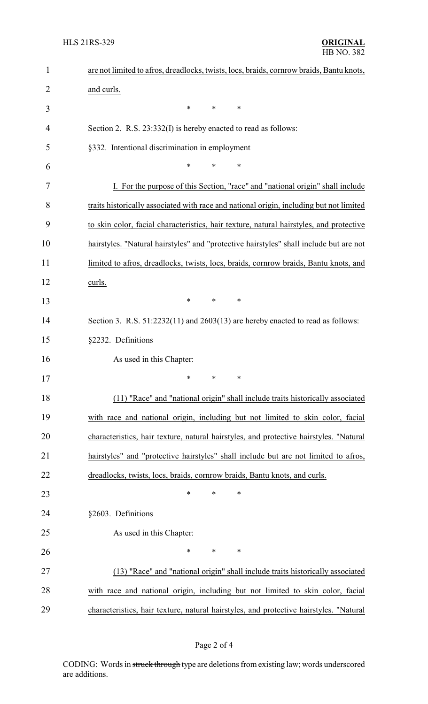| $\mathbf{1}$ | are not limited to afros, dreadlocks, twists, locs, braids, cornrow braids, Bantu knots, |  |  |
|--------------|------------------------------------------------------------------------------------------|--|--|
| 2            | and curls.                                                                               |  |  |
| 3            | $\ast$<br>*<br>∗                                                                         |  |  |
| 4            | Section 2. R.S. 23:332(I) is hereby enacted to read as follows:                          |  |  |
| 5            | §332. Intentional discrimination in employment                                           |  |  |
| 6            | *<br>*<br>$\ast$                                                                         |  |  |
| 7            | I. For the purpose of this Section, "race" and "national origin" shall include           |  |  |
| 8            | traits historically associated with race and national origin, including but not limited  |  |  |
| 9            | to skin color, facial characteristics, hair texture, natural hairstyles, and protective  |  |  |
| 10           | hairstyles. "Natural hairstyles" and "protective hairstyles" shall include but are not   |  |  |
| 11           | limited to afros, dreadlocks, twists, locs, braids, cornrow braids, Bantu knots, and     |  |  |
| 12           | curls.                                                                                   |  |  |
| 13           | $\ast$<br>*<br>*                                                                         |  |  |
| 14           | Section 3. R.S. $51:2232(11)$ and $2603(13)$ are hereby enacted to read as follows:      |  |  |
| 15           | §2232. Definitions                                                                       |  |  |
| 16           | As used in this Chapter:                                                                 |  |  |
| 17           | ∗<br>∗<br>∗                                                                              |  |  |
| 18           | (11) "Race" and "national origin" shall include traits historically associated           |  |  |
| 19           | with race and national origin, including but not limited to skin color, facial           |  |  |
| 20           | characteristics, hair texture, natural hairstyles, and protective hairstyles. "Natural   |  |  |
| 21           | hairstyles" and "protective hairstyles" shall include but are not limited to afros,      |  |  |
| 22           | dreadlocks, twists, locs, braids, cornrow braids, Bantu knots, and curls.                |  |  |
| 23           | $\ast$<br>$\ast$<br>∗                                                                    |  |  |
| 24           | §2603. Definitions                                                                       |  |  |
| 25           | As used in this Chapter:                                                                 |  |  |
| 26           | $\ast$<br>*<br>∗                                                                         |  |  |
| 27           | (13) "Race" and "national origin" shall include traits historically associated           |  |  |
| 28           | with race and national origin, including but not limited to skin color, facial           |  |  |
| 29           | characteristics, hair texture, natural hairstyles, and protective hairstyles. "Natural   |  |  |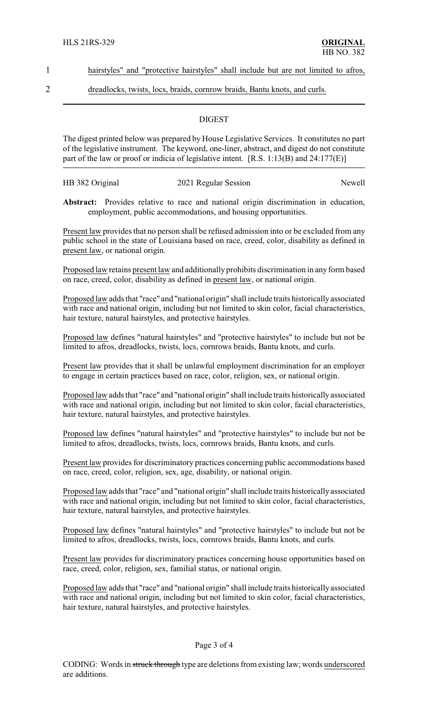### 1 hairstyles" and "protective hairstyles" shall include but are not limited to afros,

2 dreadlocks, twists, locs, braids, cornrow braids, Bantu knots, and curls.

### **DIGEST**

The digest printed below was prepared by House Legislative Services. It constitutes no part of the legislative instrument. The keyword, one-liner, abstract, and digest do not constitute part of the law or proof or indicia of legislative intent. [R.S. 1:13(B) and 24:177(E)]

| HB 382 Original | 2021 Regular Session | Newell |
|-----------------|----------------------|--------|
|                 |                      |        |

**Abstract:** Provides relative to race and national origin discrimination in education, employment, public accommodations, and housing opportunities.

Present law provides that no person shall be refused admission into or be excluded from any public school in the state of Louisiana based on race, creed, color, disability as defined in present law, or national origin.

Proposed law retains present law and additionally prohibits discrimination in any form based on race, creed, color, disability as defined in present law, or national origin.

Proposed law adds that "race" and "national origin" shall include traits historicallyassociated with race and national origin, including but not limited to skin color, facial characteristics, hair texture, natural hairstyles, and protective hairstyles.

Proposed law defines "natural hairstyles" and "protective hairstyles" to include but not be limited to afros, dreadlocks, twists, locs, cornrows braids, Bantu knots, and curls.

Present law provides that it shall be unlawful employment discrimination for an employer to engage in certain practices based on race, color, religion, sex, or national origin.

Proposed law adds that "race" and "national origin" shall include traits historically associated with race and national origin, including but not limited to skin color, facial characteristics, hair texture, natural hairstyles, and protective hairstyles.

Proposed law defines "natural hairstyles" and "protective hairstyles" to include but not be limited to afros, dreadlocks, twists, locs, cornrows braids, Bantu knots, and curls.

Present law provides for discriminatory practices concerning public accommodations based on race, creed, color, religion, sex, age, disability, or national origin.

Proposed law adds that "race" and "national origin" shall include traits historicallyassociated with race and national origin, including but not limited to skin color, facial characteristics, hair texture, natural hairstyles, and protective hairstyles.

Proposed law defines "natural hairstyles" and "protective hairstyles" to include but not be limited to afros, dreadlocks, twists, locs, cornrows braids, Bantu knots, and curls.

Present law provides for discriminatory practices concerning house opportunities based on race, creed, color, religion, sex, familial status, or national origin.

Proposed law adds that "race" and "national origin" shall include traits historicallyassociated with race and national origin, including but not limited to skin color, facial characteristics, hair texture, natural hairstyles, and protective hairstyles.

#### Page 3 of 4